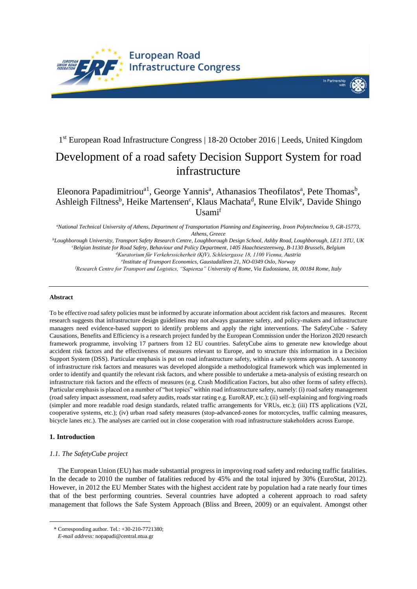

1<sup>st</sup> European Road Infrastructure Congress | 18-20 October 2016 | Leeds, United Kingdom

# Development of a road safety Decision Support System for road infrastructure

Eleonora Papadimitriou<sup>a1</sup>, George Yannis<sup>a</sup>, Athanasios Theofilatos<sup>a</sup>, Pete Thomas<sup>b</sup>, Ashleigh Filtness<sup>b</sup>, Heike Martensen<sup>c</sup>, Klaus Machata<sup>d</sup>, Rune Elvik<sup>e</sup>, Davide Shingo Usami<sup>f</sup>

*<sup>a</sup>National Technical University of Athens, Department of Transportation Planning and Engineering, Iroon Polytechneiou 9, GR-15773, Athens, Greece*

*<sup>b</sup>Loughborough University, Transport Safety Research Centre, Loughborough Design School, Ashby Road, Loughborough, LE11 3TU, UK <sup>c</sup>Belgian Institute for Road Safety, Behaviour and Policy Department, 1405 Haachtsesteenweg, B-1130 Brussels, Belgium <sup>d</sup>Kuratorium für Verkehrssicherheit (KfV), Schleiergasse 18, 1100 Vienna, Austria e Institute of Transport Economics, Gaustadalleen 21, NO-0349 Oslo, Norway*

*<sup>f</sup>Research Centre for Transport and Logistics, "Sapienza" University of Rome, Via Eudossiana, 18, 00184 Rome, Italy*

## **Abstract**

To be effective road safety policies must be informed by accurate information about accident risk factors and measures. Recent research suggests that infrastructure design guidelines may not always guarantee safety, and policy-makers and infrastructure managers need evidence-based support to identify problems and apply the right interventions. The SafetyCube - Safety Causations, Benefits and Efficiency is a research project funded by the European Commission under the Horizon 2020 research framework programme, involving 17 partners from 12 EU countries. SafetyCube aims to generate new knowledge about accident risk factors and the effectiveness of measures relevant to Europe, and to structure this information in a Decision Support System (DSS). Particular emphasis is put on road infrastructure safety, within a safe systems approach. A taxonomy of infrastructure risk factors and measures was developed alongside a methodological framework which was implemented in order to identify and quantify the relevant risk factors, and where possible to undertake a meta-analysis of existing research on infrastructure risk factors and the effects of measures (e.g. Crash Modification Factors, but also other forms of safety effects). Particular emphasis is placed on a number of "hot topics" within road infrastructure safety, namely: (i) road safety management (road safety impact assessment, road safety audits, roads star rating e.g. EuroRAP, etc.); (ii) self-explaining and forgiving roads (simpler and more readable road design standards, related traffic arrangements for VRUs, etc.); (iii) ITS applications (V2I, cooperative systems, etc.); (iv) urban road safety measures (stop-advanced-zones for motorcycles, traffic calming measures, bicycle lanes etc.). The analyses are carried out in close cooperation with road infrastructure stakeholders across Europe.

# **1. Introduction**

1

# *1.1. The SafetyCube project*

The European Union (EU) has made substantial progress in improving road safety and reducing traffic fatalities. In the decade to 2010 the number of fatalities reduced by 45% and the total injured by 30% (EuroStat, 2012). However, in 2012 the EU Member States with the highest accident rate by population had a rate nearly four times that of the best performing countries. Several countries have adopted a coherent approach to road safety management that follows the Safe System Approach (Bliss and Breen, 2009) or an equivalent. Amongst other

<sup>\*</sup> Corresponding author. Tel.: +30-210-7721380;

*E-mail address:* nopapadi@central.ntua.gr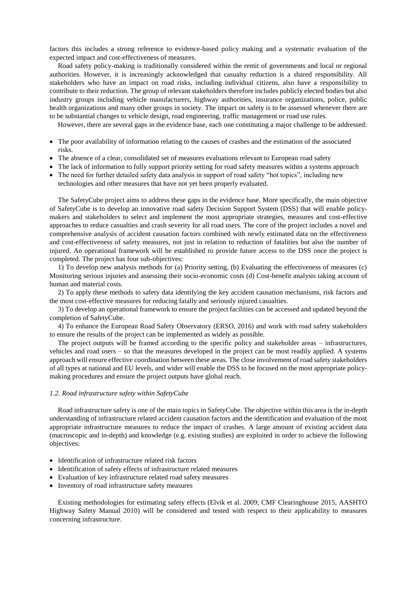factors this includes a strong reference to evidence-based policy making and a systematic evaluation of the expected impact and cost-effectiveness of measures.

Road safety policy-making is traditionally considered within the remit of governments and local or regional authorities. However, it is increasingly acknowledged that casualty reduction is a shared responsibility. All stakeholders who have an impact on road risks, including individual citizens, also have a responsibility to contribute to their reduction. The group of relevant stakeholders therefore includes publicly elected bodies but also industry groups including vehicle manufacturers, highway authorities, insurance organizations, police, public health organizations and many other groups in society. The impact on safety is to be assessed whenever there are to be substantial changes to vehicle design, road engineering, traffic management or road use rules.

However, there are several gaps in the evidence base, each one constituting a major challenge to be addressed:

- The poor availability of information relating to the causes of crashes and the estimation of the associated risks.
- The absence of a clear, consolidated set of measures evaluations relevant to European road safety
- The lack of information to fully support priority setting for road safety measures within a systems approach
- The need for further detailed safety data analysis in support of road safety "hot topics", including new technologies and other measures that have not yet been properly evaluated.

The SafetyCube project aims to address these gaps in the evidence base. More specifically, the main objective of SafetyCube is to develop an innovative road safety Decision Support System (DSS) that will enable policymakers and stakeholders to select and implement the most appropriate strategies, measures and cost-effective approaches to reduce casualties and crash severity for all road users. The core of the project includes a novel and comprehensive analysis of accident causation factors combined with newly estimated data on the effectiveness and cost-effectiveness of safety measures, not just in relation to reduction of fatalities but also the number of injured. An operational framework will be established to provide future access to the DSS once the project is completed. The project has four sub-objectives:

1) To develop new analysis methods for (a) Priority setting, (b) Evaluating the effectiveness of measures (c) Monitoring serious injuries and assessing their socio-economic costs (d) Cost-benefit analysis taking account of human and material costs.

2) To apply these methods to safety data identifying the key accident causation mechanisms, risk factors and the most cost-effective measures for reducing fatally and seriously injured casualties.

3) To develop an operational framework to ensure the project facilities can be accessed and updated beyond the completion of SafetyCube.

4) To enhance the European Road Safety Observatory (ERSO, 2016) and work with road safety stakeholders to ensure the results of the project can be implemented as widely as possible.

The project outputs will be framed according to the specific policy and stakeholder areas – infrastructures, vehicles and road users – so that the measures developed in the project can be most readily applied. A systems approach will ensure effective coordination between these areas. The close involvement of road safety stakeholders of all types at national and EU levels, and wider will enable the DSS to be focused on the most appropriate policymaking procedures and ensure the project outputs have global reach.

# *1.2. Road infrastructure safety within SafetyCube*

Road infrastructure safety is one of the main topics in SafetyCube. The objective within this area is the in-depth understanding of infrastructure related accident causation factors and the identification and evaluation of the most appropriate infrastructure measures to reduce the impact of crashes. A large amount of existing accident data (macroscopic and in-depth) and knowledge (e.g. existing studies) are exploited in order to achieve the following objectives:

- Identification of infrastructure related risk factors
- Identification of safety effects of infrastructure related measures
- Evaluation of key infrastructure related road safety measures
- Inventory of road infrastructure safety measures

Existing methodologies for estimating safety effects (Elvik et al. 2009; CMF Clearinghouse 2015, AASHTO Highway Safety Manual 2010) will be considered and tested with respect to their applicability to measures concerning infrastructure.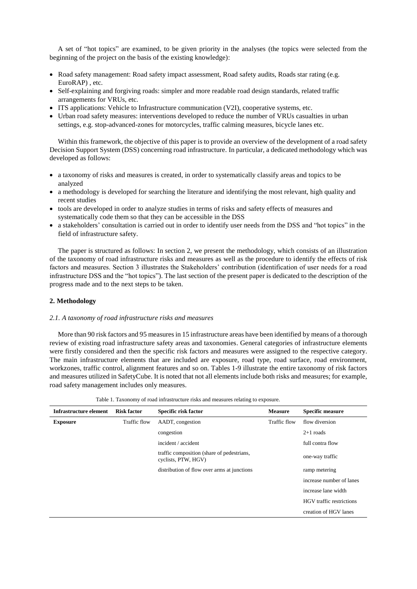A set of "hot topics" are examined, to be given priority in the analyses (the topics were selected from the beginning of the project on the basis of the existing knowledge):

- Road safety management: Road safety impact assessment, Road safety audits, Roads star rating (e.g. EuroRAP) , etc.
- Self-explaining and forgiving roads: simpler and more readable road design standards, related traffic arrangements for VRUs, etc.
- ITS applications: Vehicle to Infrastructure communication (V2I), cooperative systems, etc.
- Urban road safety measures: interventions developed to reduce the number of VRUs casualties in urban settings, e.g. stop-advanced-zones for motorcycles, traffic calming measures, bicycle lanes etc.

Within this framework, the objective of this paper is to provide an overview of the development of a road safety Decision Support System (DSS) concerning road infrastructure. In particular, a dedicated methodology which was developed as follows:

- a taxonomy of risks and measures is created, in order to systematically classify areas and topics to be analyzed
- a methodology is developed for searching the literature and identifying the most relevant, high quality and recent studies
- tools are developed in order to analyze studies in terms of risks and safety effects of measures and systematically code them so that they can be accessible in the DSS
- a stakeholders' consultation is carried out in order to identify user needs from the DSS and "hot topics" in the field of infrastructure safety.

The paper is structured as follows: In section 2, we present the methodology, which consists of an illustration of the taxonomy of road infrastructure risks and measures as well as the procedure to identify the effects of risk factors and measures. Section 3 illustrates the Stakeholders' contribution (identification of user needs for a road infrastructure DSS and the "hot topics"). The last section of the present paper is dedicated to the description of the progress made and to the next steps to be taken.

# **2. Methodology**

## *2.1. A taxonomy of road infrastructure risks and measures*

More than 90 risk factors and 95 measures in 15 infrastructure areas have been identified by means of a thorough review of existing road infrastructure safety areas and taxonomies. General categories of infrastructure elements were firstly considered and then the specific risk factors and measures were assigned to the respective category. The main infrastructure elements that are included are exposure, road type, road surface, road environment, workzones, traffic control, alignment features and so on. Tables 1-9 illustrate the entire taxonomy of risk factors and measures utilized in SafetyCube. It is noted that not all elements include both risks and measures; for example, road safety management includes only measures.

| Infrastructure element | <b>Risk factor</b> | Specific risk factor                                              | <b>Measure</b>      | <b>Specific measure</b>  |
|------------------------|--------------------|-------------------------------------------------------------------|---------------------|--------------------------|
| <b>Exposure</b>        | Traffic flow       | AADT, congestion                                                  | <b>Traffic flow</b> | flow diversion           |
|                        |                    | congestion                                                        |                     | $2+1$ roads              |
|                        |                    | incident / accident                                               |                     | full contra flow         |
|                        |                    | traffic composition (share of pedestrians,<br>cyclists, PTW, HGV) |                     | one-way traffic          |
|                        |                    | distribution of flow over arms at junctions                       |                     | ramp metering            |
|                        |                    |                                                                   |                     | increase number of lanes |
|                        |                    |                                                                   |                     | increase lane width      |
|                        |                    |                                                                   |                     | HGV traffic restrictions |
|                        |                    |                                                                   |                     | creation of HGV lanes    |
|                        |                    |                                                                   |                     |                          |

|  | Table 1. Taxonomy of road infrastructure risks and measures relating to exposure. |
|--|-----------------------------------------------------------------------------------|
|  |                                                                                   |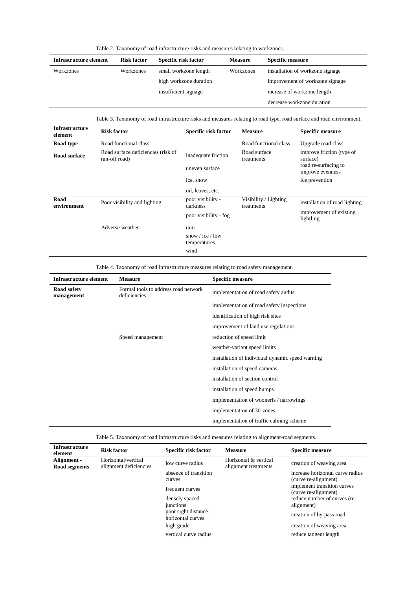Table 2. Taxonomy of road infrastructure risks and measures relating to workzones.

| Infrastructure element | <b>Risk factor</b> | Specific risk factor   | <b>Measure</b> | <b>Specific measure</b>          |
|------------------------|--------------------|------------------------|----------------|----------------------------------|
| Workzones              | Workzones          | small workzone length  | Workzones      | installation of workzone signage |
|                        |                    | high workzone duration |                | improvement of workzone signage  |
|                        |                    | insufficient signage   |                | increase of workzone length      |
|                        |                    |                        |                | decrease workzone duration       |

Table 3. Taxonomy of road infrastructure risks and measures relating to road type, road surface and road environment.

| <b>Infrastructure</b><br>element | <b>Risk factor</b>                                  | <b>Specific risk factor</b>   | <b>Measure</b>                      | <b>Specific measure</b>                  |
|----------------------------------|-----------------------------------------------------|-------------------------------|-------------------------------------|------------------------------------------|
| Road type                        | Road functional class                               |                               | Road functional class               | Upgrade road class                       |
| Road surface                     | Road surface deficiencies (risk of<br>ran-off road) | inadequate friction           | Road surface<br>treatments          | improve friction (type of<br>surface)    |
|                                  |                                                     | uneven surface                |                                     | road re-surfacing to<br>improve evenness |
|                                  |                                                     | ice, snow                     |                                     | ice prevention                           |
|                                  |                                                     | oil, leaves, etc.             |                                     |                                          |
| Road<br>environment              | Poor visibility and lighting                        | poor visibility -<br>darkness | Visibility / Lighting<br>treatments | installation of road lighting            |
|                                  |                                                     | poor visibility - fog         |                                     | improvement of existing<br>lightling     |
|                                  | Adverse weather                                     | rain                          |                                     |                                          |
|                                  |                                                     | snow / ice / low              |                                     |                                          |
|                                  |                                                     | temperatures                  |                                     |                                          |
|                                  |                                                     | wind                          |                                     |                                          |

Table 4. Taxonomy of road infrastructure measures relating to road safety management.

| Infrastructure element           | <b>Measure</b>                                       | <b>Specific measure</b>                          |  |
|----------------------------------|------------------------------------------------------|--------------------------------------------------|--|
| <b>Road safety</b><br>management | Formal tools to address road network<br>deficiencies | implementation of road safety audits             |  |
|                                  |                                                      | implementation of road safety inspections        |  |
|                                  |                                                      | identification of high risk sites                |  |
|                                  |                                                      | improvement of land use regulations              |  |
|                                  | Speed management                                     | reduction of speed limit                         |  |
|                                  |                                                      | weather-variant speed limits                     |  |
|                                  |                                                      | installation of individual dynamic speed warning |  |
|                                  |                                                      | installation of speed cameras                    |  |
|                                  |                                                      | installation of section control                  |  |
|                                  |                                                      | installation of speed humps                      |  |
|                                  |                                                      | implementation of woonerfs / narrowings          |  |
|                                  |                                                      | implementation of 30-zones                       |  |
|                                  |                                                      | implementation of traffic calming scheme         |  |

Table 5. Taxonomy of road infrastructure risks and measures relating to alignment-road segments.

| <b>Infrastructure</b><br>element    | <b>Risk factor</b>                            | Specific risk factor                       | <b>Measure</b>                                | <b>Specific measure</b>                                  |
|-------------------------------------|-----------------------------------------------|--------------------------------------------|-----------------------------------------------|----------------------------------------------------------|
| Alignment -<br><b>Road segments</b> | Horizontal/vertical<br>alignment deficiencies | low curve radius                           | Horizontal & vertical<br>alignment treatments | creation of weaving area                                 |
|                                     |                                               | absence of transition<br>curves            |                                               | increase horizontal curve radius<br>(curve re-alignment) |
|                                     |                                               | frequent curves                            |                                               | implement transition curves<br>(curve re-alignment)      |
|                                     |                                               | densely spaced                             |                                               | reduce number of curves (re-                             |
|                                     |                                               | junctions                                  |                                               | alignment)                                               |
|                                     |                                               | poor sight distance -<br>horizontal curves |                                               | creation of by-pass road                                 |
|                                     |                                               | high grade                                 |                                               | creation of weaving area                                 |
|                                     |                                               | vertical curve radius                      |                                               | reduce tangent length                                    |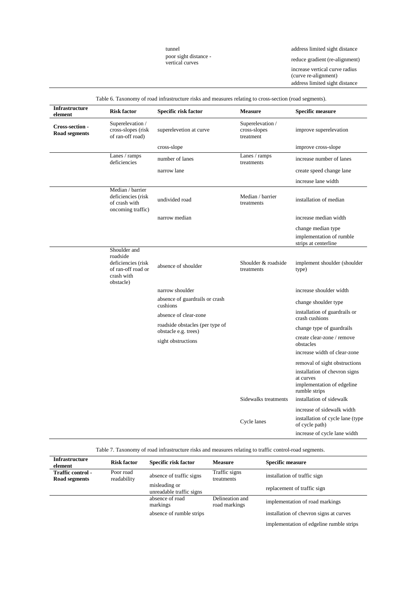# poor sight distance -

tunnel address limited sight distance

reduce gradient (re-alignment)

increase vertical curve radius (curve re-alignment) address limited sight distance

| <b>Infrastructure</b><br>element        | <b>Risk factor</b>                                                           | Specific risk factor                                    | <b>Measure</b>                                | <b>Specific measure</b>                            |
|-----------------------------------------|------------------------------------------------------------------------------|---------------------------------------------------------|-----------------------------------------------|----------------------------------------------------|
| Cross-section -<br><b>Road segments</b> | Superelevation /<br>cross-slopes (risk<br>of ran-off road)                   | superelevetion at curve                                 | Superelevation /<br>cross-slopes<br>treatment | improve superelevation                             |
|                                         |                                                                              | cross-slope                                             |                                               | improve cross-slope                                |
|                                         | Lanes / ramps<br>deficiencies                                                | number of lanes                                         | Lanes / ramps<br>treatments                   | increase number of lanes                           |
|                                         |                                                                              | narrow lane                                             |                                               | create speed change lane                           |
|                                         |                                                                              |                                                         |                                               | increase lane width                                |
|                                         | Median / barrier<br>deficiencies (risk<br>of crash with<br>oncoming traffic) | undivided road                                          | Median / barrier<br>treatments                | installation of median                             |
|                                         |                                                                              | narrow median                                           |                                               | increase median width                              |
|                                         |                                                                              |                                                         |                                               | change median type                                 |
|                                         |                                                                              |                                                         |                                               | implementation of rumble<br>strips at centerline   |
|                                         | Shoulder and<br>roadside<br>deficiencies (risk<br>of ran-off road or         | absence of shoulder                                     | Shoulder & roadside<br>treatments             | implement shoulder (shoulder<br>type)              |
|                                         | crash with<br>obstacle)                                                      |                                                         |                                               |                                                    |
|                                         |                                                                              | narrow shoulder                                         |                                               | increase shoulder width                            |
|                                         |                                                                              | absence of guardrails or crash<br>cushions              |                                               | change shoulder type                               |
|                                         |                                                                              | absence of clear-zone                                   |                                               | installation of guardrails or<br>crash cushions    |
|                                         |                                                                              | roadside obstacles (per type of<br>obstacle e.g. trees) |                                               | change type of guardrails                          |
|                                         |                                                                              | sight obstructions                                      |                                               | create clear-zone / remove<br>obstacles            |
|                                         |                                                                              |                                                         |                                               | increase width of clear-zone                       |
|                                         |                                                                              |                                                         |                                               | removal of sight obstructions                      |
|                                         |                                                                              |                                                         |                                               | installation of chevron signs<br>at curves         |
|                                         |                                                                              |                                                         |                                               | implementation of edgeline<br>rumble strips        |
|                                         |                                                                              |                                                         | Sidewalks treatments                          | installation of sidewalk                           |
|                                         |                                                                              |                                                         |                                               | increase of sidewalk width                         |
|                                         |                                                                              |                                                         | Cycle lanes                                   | installation of cycle lane (type<br>of cycle path) |
|                                         |                                                                              |                                                         |                                               | increase of cycle lane width                       |

Table 6. Taxonomy of road infrastructure risks and measures relating to cross-section (road segments).

Table 7. Taxonomy of road infrastructure risks and measures relating to traffic control-road segments.

| Infrastructure<br>element                 | <b>Risk factor</b>       | Specific risk factor                      | <b>Measure</b>                   | <b>Specific measure</b>                  |
|-------------------------------------------|--------------------------|-------------------------------------------|----------------------------------|------------------------------------------|
| <b>Traffic control -</b><br>Road segments | Poor road<br>readability | absence of traffic signs                  | Traffic signs<br>treatments      | installation of traffic sign             |
|                                           |                          | misleading or<br>unreadable traffic signs |                                  | replacement of traffic sign              |
|                                           |                          | absence of road<br>markings               | Delineation and<br>road markings | implementation of road markings          |
|                                           |                          | absence of rumble strips                  |                                  | installation of chevron signs at curves  |
|                                           |                          |                                           |                                  | implementation of edgeline rumble strips |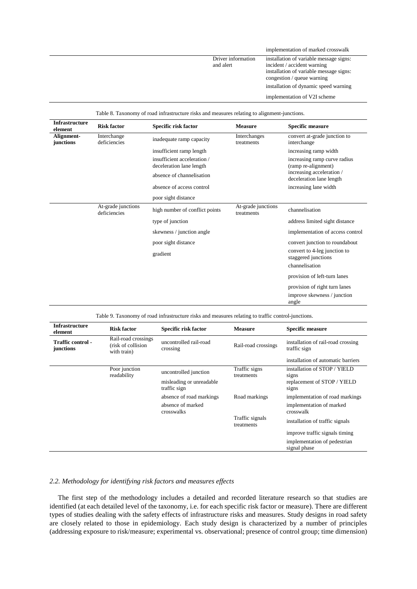implementation of marked crosswalk Driver information installation of variable message signs: incident / accident warning installation of variable message signs: congestion / queue warning installation of dynamic speed warning implementation of V2I scheme

| Table 8. Taxonomy of road infrastructure risks and measures relating to alignment-junctions. |                                    |                                                         |                                  |                                                       |
|----------------------------------------------------------------------------------------------|------------------------------------|---------------------------------------------------------|----------------------------------|-------------------------------------------------------|
| <b>Infrastructure</b><br>element                                                             | <b>Risk factor</b>                 | Specific risk factor                                    | <b>Measure</b>                   | <b>Specific measure</b>                               |
| Alignment-<br>junctions                                                                      | Interchange<br>deficiencies        | inadequate ramp capacity                                | Interchanges<br>treatments       | convert at-grade junction to<br>interchange           |
|                                                                                              |                                    | insufficient ramp length                                |                                  | increasing ramp width                                 |
|                                                                                              |                                    | insufficient acceleration /<br>deceleration lane length |                                  | increasing ramp curve radius<br>(ramp re-alignment)   |
|                                                                                              |                                    | absence of channelisation                               |                                  | increasing acceleration /<br>deceleration lane length |
|                                                                                              |                                    | absence of access control                               |                                  | increasing lane width                                 |
|                                                                                              |                                    | poor sight distance                                     |                                  |                                                       |
|                                                                                              | At-grade junctions<br>deficiencies | high number of conflict points                          | At-grade junctions<br>treatments | channelisation                                        |
|                                                                                              |                                    | type of junction                                        |                                  | address limited sight distance                        |
|                                                                                              |                                    | skewness / junction angle                               |                                  | implementation of access control                      |
|                                                                                              |                                    | poor sight distance                                     |                                  | convert junction to roundabout                        |
|                                                                                              |                                    | gradient                                                |                                  | convert to 4-leg junction to<br>staggered junctions   |
|                                                                                              |                                    |                                                         |                                  | channelisation                                        |
|                                                                                              |                                    |                                                         |                                  | provision of left-turn lanes                          |
|                                                                                              |                                    |                                                         |                                  | provision of right turn lanes                         |
|                                                                                              |                                    |                                                         |                                  | improve skewness / junction<br>angle                  |

and alert

Table 9. Taxonomy of road infrastructure risks and measures relating to traffic control-junctions.

| <b>Infrastructure</b><br>element | <b>Risk factor</b>                                       | Specific risk factor                     | <b>Measure</b>                | <b>Specific measure</b>                            |
|----------------------------------|----------------------------------------------------------|------------------------------------------|-------------------------------|----------------------------------------------------|
| Traffic control -<br>junctions   | Rail-road crossings<br>(risk of collision<br>with train) | uncontrolled rail-road<br>crossing       | Rail-road crossings           | installation of rail-road crossing<br>traffic sign |
|                                  |                                                          |                                          |                               | installation of automatic barriers                 |
|                                  | Poor junction<br>readability                             | uncontrolled junction                    | Traffic signs<br>treatments   | installation of STOP / YIELD<br>signs              |
|                                  |                                                          | misleading or unreadable<br>traffic sign |                               | replacement of STOP / YIELD<br>signs               |
|                                  |                                                          | absence of road markings                 | Road markings                 | implementation of road markings                    |
|                                  |                                                          | absence of marked<br>crosswalks          |                               | implementation of marked<br>crosswalk              |
|                                  |                                                          |                                          | Traffic signals<br>treatments | installation of traffic signals                    |
|                                  |                                                          |                                          |                               | improve traffic signals timing                     |
|                                  |                                                          |                                          |                               | implementation of pedestrian<br>signal phase       |

# *2.2. Methodology for identifying risk factors and measures effects*

The first step of the methodology includes a detailed and recorded literature research so that studies are identified (at each detailed level of the taxonomy, i.e. for each specific risk factor or measure). There are different types of studies dealing with the safety effects of infrastructure risks and measures. Study designs in road safety are closely related to those in epidemiology. Each study design is characterized by a number of principles (addressing exposure to risk/measure; experimental vs. observational; presence of control group; time dimension)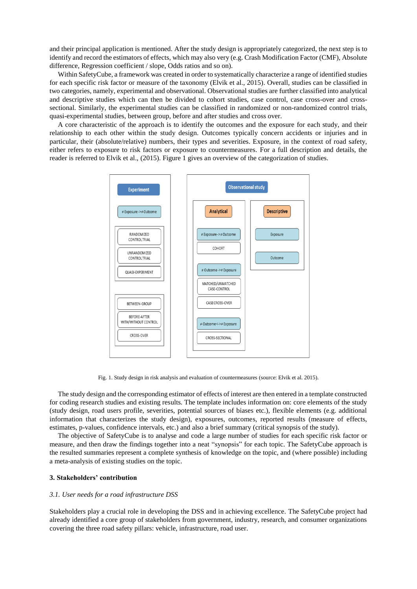and their principal application is mentioned. After the study design is appropriately categorized, the next step is to identify and record the estimators of effects, which may also very (e.g. Crash Modification Factor (CMF), Absolute difference, Regression coefficient / slope, Odds ratios and so on).

Within SafetyCube, a framework was created in order to systematically characterize a range of identified studies for each specific risk factor or measure of the taxonomy (Elvik et al., 2015). Overall, studies can be classified in two categories, namely, experimental and observational. Observational studies are further classified into analytical and descriptive studies which can then be divided to cohort studies, case control, case cross-over and crosssectional. Similarly, the experimental studies can be classified in randomized or non-randomized control trials, quasi-experimental studies, between group, before and after studies and cross over.

A core characteristic of the approach is to identify the outcomes and the exposure for each study, and their relationship to each other within the study design. Outcomes typically concern accidents or injuries and in particular, their (absolute/relative) numbers, their types and severities. Exposure, in the context of road safety, either refers to exposure to risk factors or exposure to countermeasures. For a full description and details, the reader is referred to Elvik et al., (2015). Figure 1 gives an overview of the categorization of studies.



Fig. 1. Study design in risk analysis and evaluation of countermeasures (source: Elvik et al. 2015).

The study design and the corresponding estimator of effects of interest are then entered in a template constructed for coding research studies and existing results. The template includes information on: core elements of the study (study design, road users profile, severities, potential sources of biases etc.), flexible elements (e.g. additional information that characterizes the study design), exposures, outcomes, reported results (measure of effects, estimates, p-values, confidence intervals, etc.) and also a brief summary (critical synopsis of the study).

The objective of SafetyCube is to analyse and code a large number of studies for each specific risk factor or measure, and then draw the findings together into a neat "synopsis" for each topic. The SafetyCube approach is the resulted summaries represent a complete synthesis of knowledge on the topic, and (where possible) including a meta-analysis of existing studies on the topic.

# **3. Stakeholders' contribution**

## *3.1. User needs for a road infrastructure DSS*

Stakeholders play a crucial role in developing the DSS and in achieving excellence. The SafetyCube project had already identified a core group of stakeholders from government, industry, research, and consumer organizations covering the three road safety pillars: vehicle, infrastructure, road user.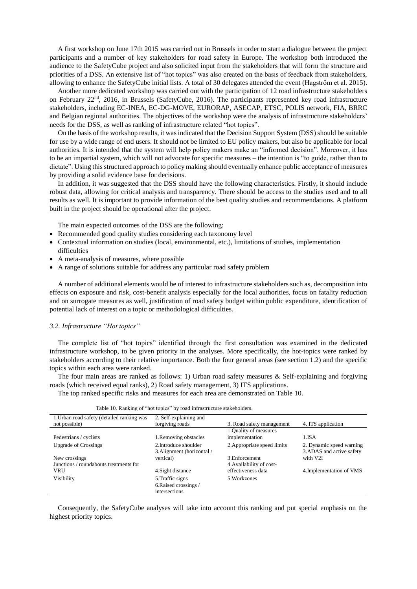A first workshop on June 17th 2015 was carried out in Brussels in order to start a dialogue between the project participants and a number of key stakeholders for road safety in Europe. The workshop both introduced the audience to the SafetyCube project and also solicited input from the stakeholders that will form the structure and priorities of a DSS. An extensive list of "hot topics" was also created on the basis of feedback from stakeholders, allowing to enhance the SafetyCube initial lists. A total of 30 delegates attended the event (Hagström et al. 2015).

Another more dedicated workshop was carried out with the participation of 12 road infrastructure stakeholders on February 22nd, 2016, in Brussels (SafetyCube, 2016). The participants represented key road infrastructure stakeholders, including EC-INEA, EC-DG-MOVE, EURORAP, ASECAP, ETSC, POLIS network, FIA, BRRC and Belgian regional authorities. The objectives of the workshop were the analysis of infrastructure stakeholders' needs for the DSS, as well as ranking of infrastructure related "hot topics".

On the basis of the workshop results, it was indicated that the Decision Support System (DSS) should be suitable for use by a wide range of end users. It should not be limited to EU policy makers, but also be applicable for local authorities. It is intended that the system will help policy makers make an "informed decision". Moreover, it has to be an impartial system, which will not advocate for specific measures – the intention is "to guide, rather than to dictate". Using this structured approach to policy making should eventually enhance public acceptance of measures by providing a solid evidence base for decisions.

In addition, it was suggested that the DSS should have the following characteristics. Firstly, it should include robust data, allowing for critical analysis and transparency. There should be access to the studies used and to all results as well. It is important to provide information of the best quality studies and recommendations. A platform built in the project should be operational after the project.

The main expected outcomes of the DSS are the following:

- Recommended good quality studies considering each taxonomy level
- Contextual information on studies (local, environmental, etc.), limitations of studies, implementation difficulties
- A meta-analysis of measures, where possible
- A range of solutions suitable for address any particular road safety problem

A number of additional elements would be of interest to infrastructure stakeholders such as, decomposition into effects on exposure and risk, cost-benefit analysis especially for the local authorities, focus on fatality reduction and on surrogate measures as well, justification of road safety budget within public expenditure, identification of potential lack of interest on a topic or methodological difficulties.

# *3.2. Infrastructure "Hot topics"*

The complete list of "hot topics" identified through the first consultation was examined in the dedicated infrastructure workshop, to be given priority in the analyses. More specifically, the hot-topics were ranked by stakeholders according to their relative importance. Both the four general areas (see section 1.2) and the specific topics within each area were ranked.

The four main areas are ranked as follows: 1) Urban road safety measures & Self-explaining and forgiving roads (which received equal ranks), 2) Road safety management, 3) ITS applications.

The top ranked specific risks and measures for each area are demonstrated on Table 10.

Table 10. Ranking of "hot topics" by road infrastructure stakeholders.

| 1. Urban road safety (detailed ranking was              | 2. Self-explaining and                                     |                                            |                                                      |
|---------------------------------------------------------|------------------------------------------------------------|--------------------------------------------|------------------------------------------------------|
| not possible)                                           | forgiving roads                                            | 3. Road safety management                  | 4. ITS application                                   |
| Pedestrians / cyclists                                  | 1. Removing obstacles                                      | 1. Quality of measures<br>implementation   | 1.ISA                                                |
| <b>Upgrade of Crossings</b>                             | 2. Introduce shoulder<br>3. Alignment (horizontal /        | 2. Appropriate speed limits                | 2. Dynamic speed warning<br>3.ADAS and active safety |
| New crossings<br>Junctions / roundabouts treatments for | vertical)                                                  | 3. Enforcement<br>4. Availability of cost- | with V2I                                             |
| VRU                                                     | 4. Sight distance                                          | effectiveness data                         | 4. Implementation of VMS                             |
| Visibility                                              | 5. Traffic signs<br>6. Raised crossings /<br>intersections | 5. Workzones                               |                                                      |

Consequently, the SafetyCube analyses will take into account this ranking and put special emphasis on the highest priority topics.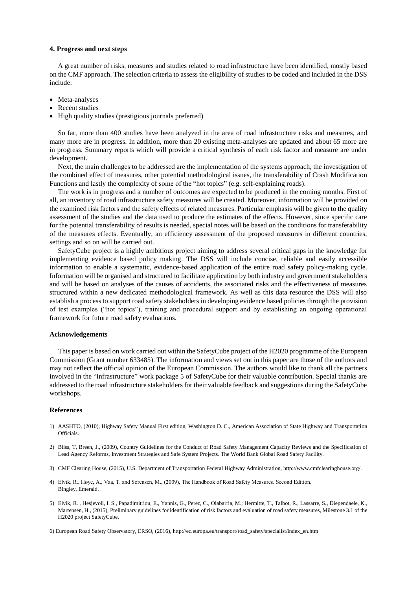#### **4. Progress and next steps**

A great number of risks, measures and studies related to road infrastructure have been identified, mostly based on the CMF approach. The selection criteria to assess the eligibility of studies to be coded and included in the DSS include:

- Meta-analyses
- Recent studies
- High quality studies (prestigious journals preferred)

So far, more than 400 studies have been analyzed in the area of road infrastructure risks and measures, and many more are in progress. In addition, more than 20 existing meta-analyses are updated and about 65 more are in progress. Summary reports which will provide a critical synthesis of each risk factor and measure are under development.

Next, the main challenges to be addressed are the implementation of the systems approach, the investigation of the combined effect of measures, other potential methodological issues, the transferability of Crash Modification Functions and lastly the complexity of some of the "hot topics" (e.g. self-explaining roads).

The work is in progress and a number of outcomes are expected to be produced in the coming months. First of all, an inventory of road infrastructure safety measures will be created. Moreover, information will be provided on the examined risk factors and the safety effects of related measures. Particular emphasis will be given to the quality assessment of the studies and the data used to produce the estimates of the effects. However, since specific care for the potential transferability of results is needed, special notes will be based on the conditions for transferability of the measures effects. Eventually, an efficiency assessment of the proposed measures in different countries, settings and so on will be carried out.

SafetyCube project is a highly ambitious project aiming to address several critical gaps in the knowledge for implementing evidence based policy making. The DSS will include concise, reliable and easily accessible information to enable a systematic, evidence-based application of the entire road safety policy-making cycle. Information will be organised and structured to facilitate application by both industry and government stakeholders and will be based on analyses of the causes of accidents, the associated risks and the effectiveness of measures structured within a new dedicated methodological framework. As well as this data resource the DSS will also establish a process to support road safety stakeholders in developing evidence based policies through the provision of test examples ("hot topics"), training and procedural support and by establishing an ongoing operational framework for future road safety evaluations.

#### **Acknowledgements**

This paper is based on work carried out within the SafetyCube project of the H2020 programme of the European Commission (Grant number 633485). The information and views set out in this paper are those of the authors and may not reflect the official opinion of the European Commission. The authors would like to thank all the partners involved in the "infrastructure" work package 5 of SafetyCube for their valuable contribution. Special thanks are addressed to the road infrastructure stakeholders for their valuable feedback and suggestions during the SafetyCube workshops.

#### **References**

- 1) AASHTO, (2010), Highway Safety Manual First edition, Washington D. C., American Association of State Highway and Transportation Officials.
- 2) Bliss, T, Breen, J., (2009), Country Guidelines for the Conduct of Road Safety Management Capacity Reviews and the Specification of Lead Agency Reforms, Investment Strategies and Safe System Projects. The World Bank Global Road Safety Facility.
- 3) CMF Clearing House, (2015), U.S. Department of Transportation Federal Highway Administration, http://www.cmfclearinghouse.org/.
- 4) Elvik, R., Høye, A., Vaa, T. and Sørensen, M., (2009), The Handbook of Road Safety Measures. Second Edition, Bingley, Emerald.
- 5) Elvik, R. , Hesjevoll, I. S., Papadimitriou, E., Yannis, G., Perez, C., Olabarria, M.; Hermitte, T., Talbot, R., Lassarre, S., Diependaele, K., Martensen, H., (2015), Preliminary guidelines for identification of risk factors and evaluation of road safety measures, Milestone 3.1 of the H2020 project SafetyCube.
- 6) European Road Safety Observatory, ERSO, (2016), [http://ec.europa.eu/transport/road\\_safety/specialist/index\\_en.htm](http://ec.europa.eu/transport/road_safety/specialist/index_en.htm)